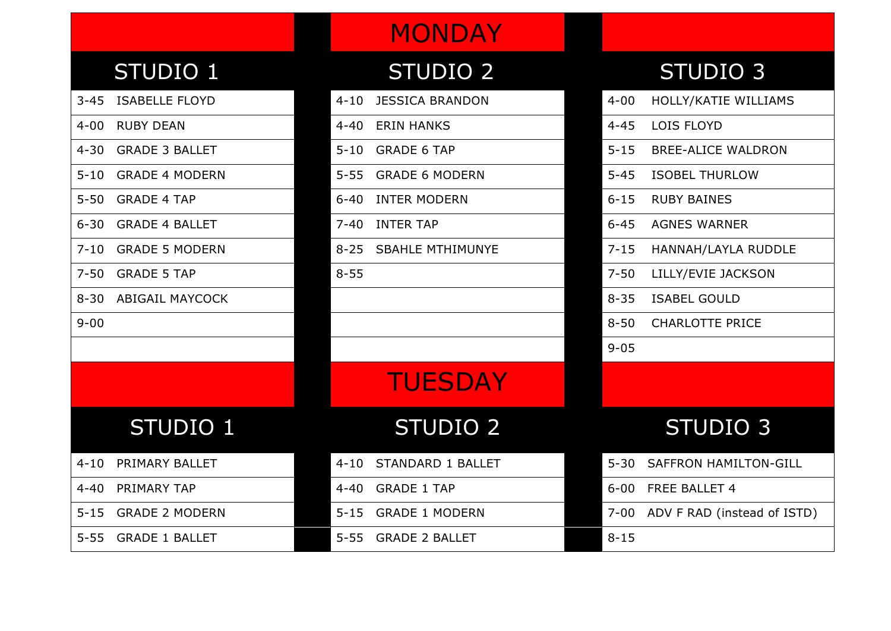### STUDIO 1 STUDIO 2 STUDIO 3

- 
- 4-00 RUBY DEAN 4-40 ERIN HANKS
- 4-30 GRADE 3 BALLET 5-10 GRADE 6 TAP
- 5-10 GRADE 4 MODERN 5-55 GRADE 6 MODERN
- 5-50 GRADE 4 TAP 6-40 INTER MODERN
- 6-30 GRADE 4 BALLET 7-40 INTER TAP
- 
- $7-50$  GRADE 5 TAP 8-55
- 8-30 ABIGAIL MAYCOCK
- 

**MONDAY** 

- 3-45 ISABELLE FLOYD 4-10 JESSICA BRANDON
	-
	-
	-
	-
	-
- 7-10 GRADE 5 MODERN 8-25 SBAHLE MTHIMUNYE
	-

# **TUESDAY**

## STUDIO 1 STUDIO 2

- 4-10 PRIMARY BALLET 4-10 STANDARD 1 BALLET
- 4-40 PRIMARY TAP 4-40 GRADE 1 TAP
	-
- 5-55 GRADE 1 BALLET 5-55 GRADE 2 BALLET

|          | 3-45 ISABELLE FLOYD  | $4 - 10$ | <b>JESSICA BRANDON</b> | $4 - 00$ | HOLLY/KATIE WILLIAMS         |
|----------|----------------------|----------|------------------------|----------|------------------------------|
| 4-00     | <b>RUBY DEAN</b>     | $4 - 40$ | <b>ERIN HANKS</b>      | $4 - 45$ | LOIS FLOYD                   |
|          | 4-30 GRADE 3 BALLET  | $5 - 10$ | <b>GRADE 6 TAP</b>     | $5 - 15$ | <b>BREE-ALICE WALDRON</b>    |
|          | 5-10 GRADE 4 MODERN  | $5 - 55$ | <b>GRADE 6 MODERN</b>  | $5 - 45$ | <b>ISOBEL THURLOW</b>        |
|          | 5-50 GRADE 4 TAP     | 6-40     | <b>INTER MODERN</b>    | $6 - 15$ | <b>RUBY BAINES</b>           |
|          | 6-30 GRADE 4 BALLET  | $7 - 40$ | <b>INTER TAP</b>       | $6 - 45$ | <b>AGNES WARNER</b>          |
|          | 7-10 GRADE 5 MODERN  |          | 8-25 SBAHLE MTHIMUNYE  | $7 - 15$ | HANNAH/LAYLA RUDDLE          |
|          | 7-50 GRADE 5 TAP     | $8 - 55$ |                        | $7 - 50$ | LILLY/EVIE JACKSON           |
|          | 8-30 ABIGAIL MAYCOCK |          |                        | $8 - 35$ | <b>ISABEL GOULD</b>          |
| $9 - 00$ |                      |          |                        | $8 - 50$ | <b>CHARLOTTE PRICE</b>       |
|          |                      |          |                        | $9 - 05$ |                              |
|          |                      |          | <b>TUESDAY</b>         |          |                              |
|          | STUDIO 1             |          | <b>STUDIO 2</b>        |          | <b>STUDIO 3</b>              |
| 4-10     | PRIMARY BALLET       | $4 - 10$ | STANDARD 1 BALLET      | $5 - 30$ | <b>SAFFRON HAMILTON-GILL</b> |
| 4-40     | PRIMARY TAP          | $4 - 40$ | <b>GRADE 1 TAP</b>     | $6 - 00$ | FREE BALLET 4                |
|          |                      |          |                        |          |                              |

- 5-15 GRADE 2 MODERN 5-15 GRADE 1 MODERN 7-00 ADV F RAD (instead of ISTD)
	-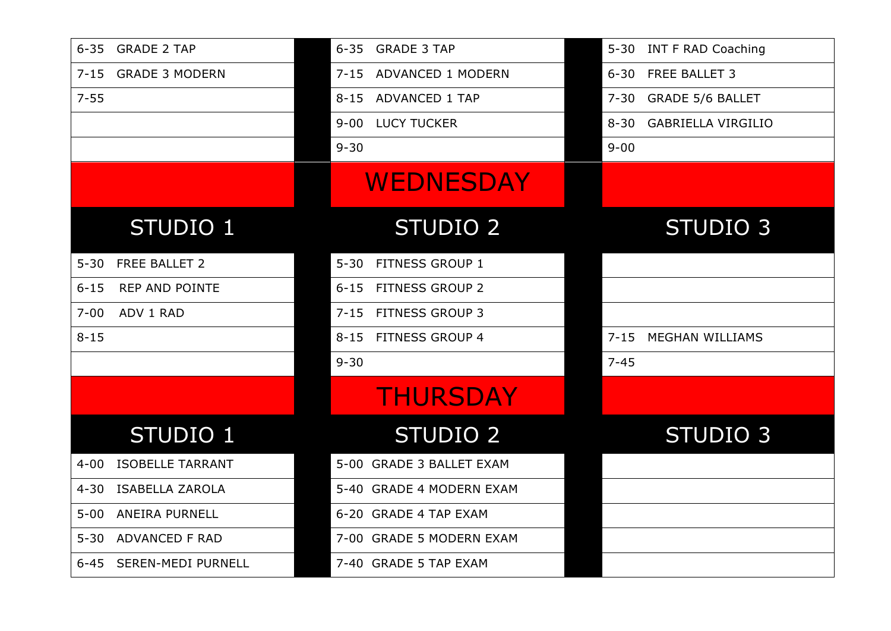|          | 6-35 GRADE 2 TAP        |          | 6-35 GRADE 3 TAP         | $5 - 30$ | <b>INT F RAD Coaching</b> |
|----------|-------------------------|----------|--------------------------|----------|---------------------------|
|          | 7-15 GRADE 3 MODERN     | $7 - 15$ | ADVANCED 1 MODERN        | $6 - 30$ | FREE BALLET 3             |
| $7 - 55$ |                         | $8 - 15$ | <b>ADVANCED 1 TAP</b>    | $7 - 30$ | <b>GRADE 5/6 BALLET</b>   |
|          |                         | $9 - 00$ | <b>LUCY TUCKER</b>       | $8 - 30$ | <b>GABRIELLA VIRGILIO</b> |
|          |                         | $9 - 30$ |                          | $9 - 00$ |                           |
|          |                         |          | <b>WEDNESDAY</b>         |          |                           |
|          | STUDIO 1                |          | <b>STUDIO 2</b>          |          | STUDIO <sub>3</sub>       |
| $5 - 30$ | FREE BALLET 2           | $5 - 30$ | FITNESS GROUP 1          |          |                           |
| $6 - 15$ | <b>REP AND POINTE</b>   | $6 - 15$ | <b>FITNESS GROUP 2</b>   |          |                           |
| $7 - 00$ | ADV 1 RAD               | $7 - 15$ | <b>FITNESS GROUP 3</b>   |          |                           |
| $8 - 15$ |                         | $8 - 15$ | <b>FITNESS GROUP 4</b>   | $7 - 15$ | <b>MEGHAN WILLIAMS</b>    |
|          |                         | $9 - 30$ |                          | $7 - 45$ |                           |
|          |                         |          | <b>THURSDAY</b>          |          |                           |
|          | <b>STUDIO 1</b>         |          | <b>STUDIO 2</b>          |          | STUDIO 3                  |
| $4 - 00$ | <b>ISOBELLE TARRANT</b> |          | 5-00 GRADE 3 BALLET EXAM |          |                           |
| $4 - 30$ | <b>ISABELLA ZAROLA</b>  |          | 5-40 GRADE 4 MODERN EXAM |          |                           |
| $5 - 00$ | <b>ANEIRA PURNELL</b>   |          | 6-20 GRADE 4 TAP EXAM    |          |                           |
| $5 - 30$ | ADVANCED F RAD          |          | 7-00 GRADE 5 MODERN EXAM |          |                           |
|          | 6-45 SEREN-MEDI PURNELL |          | 7-40 GRADE 5 TAP EXAM    |          |                           |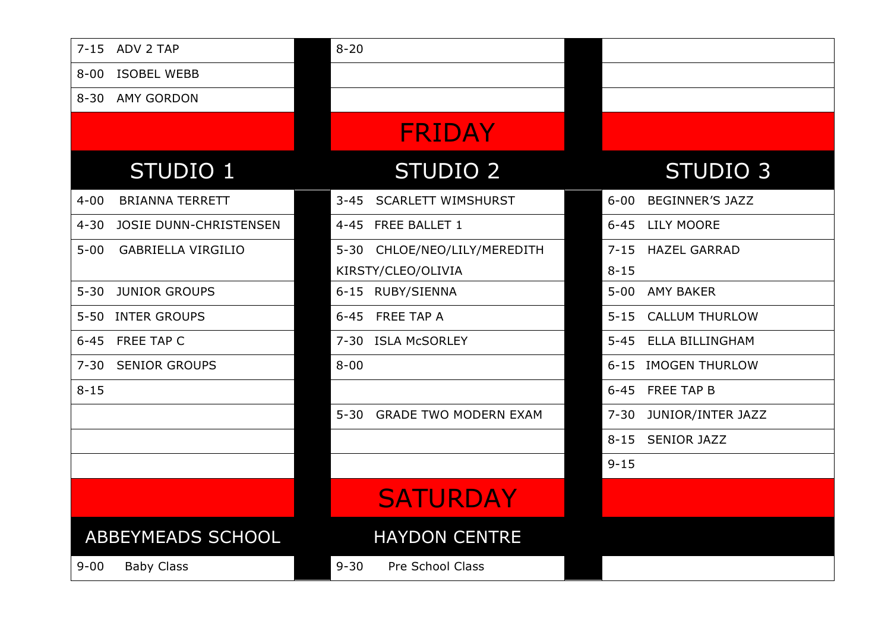| $7 - 15$ | ADV 2 TAP                     | $8 - 20$ |                              |          |                        |
|----------|-------------------------------|----------|------------------------------|----------|------------------------|
| $8 - 00$ | <b>ISOBEL WEBB</b>            |          |                              |          |                        |
| $8 - 30$ | <b>AMY GORDON</b>             |          |                              |          |                        |
|          |                               |          | <b>FRIDAY</b>                |          |                        |
|          | STUDIO 1                      |          | <b>STUDIO 2</b>              |          | STUDIO <sub>3</sub>    |
| $4 - 00$ | <b>BRIANNA TERRETT</b>        | $3 - 45$ | <b>SCARLETT WIMSHURST</b>    | $6 - 00$ | <b>BEGINNER'S JAZZ</b> |
| $4 - 30$ | <b>JOSIE DUNN-CHRISTENSEN</b> | $4 - 45$ | FREE BALLET 1                | $6 - 45$ | <b>LILY MOORE</b>      |
| $5 - 00$ | <b>GABRIELLA VIRGILIO</b>     | $5 - 30$ | CHLOE/NEO/LILY/MEREDITH      | $7 - 15$ | <b>HAZEL GARRAD</b>    |
|          |                               |          | KIRSTY/CLEO/OLIVIA           | $8 - 15$ |                        |
| $5 - 30$ | <b>JUNIOR GROUPS</b>          |          | 6-15 RUBY/SIENNA             | $5 - 00$ | <b>AMY BAKER</b>       |
| $5 - 50$ | <b>INTER GROUPS</b>           | $6 - 45$ | FREE TAP A                   | $5 - 15$ | <b>CALLUM THURLOW</b>  |
| $6 - 45$ | FREE TAP C                    | $7 - 30$ | <b>ISLA McSORLEY</b>         | $5 - 45$ | <b>ELLA BILLINGHAM</b> |
| $7 - 30$ | <b>SENIOR GROUPS</b>          | $8 - 00$ |                              |          | 6-15 IMOGEN THURLOW    |
| $8 - 15$ |                               |          |                              |          | 6-45 FREE TAP B        |
|          |                               | $5 - 30$ | <b>GRADE TWO MODERN EXAM</b> | $7 - 30$ | JUNIOR/INTER JAZZ      |
|          |                               |          |                              | $8 - 15$ | <b>SENIOR JAZZ</b>     |
|          |                               |          |                              | $9 - 15$ |                        |
|          |                               |          | <b>SATURDAY</b>              |          |                        |
|          | <b>ABBEYMEADS SCHOOL</b>      |          | <b>HAYDON CENTRE</b>         |          |                        |
| $9 - 00$ | <b>Baby Class</b>             | $9 - 30$ | Pre School Class             |          |                        |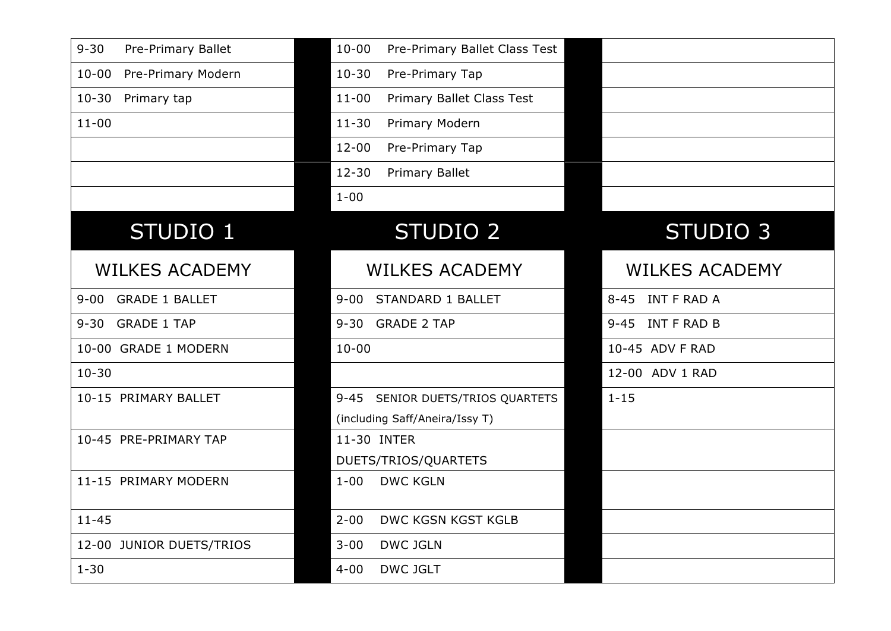| $9 - 30$<br>Pre-Primary Ballet  | $10 - 00$<br>Pre-Primary Ballet Class Test |                       |
|---------------------------------|--------------------------------------------|-----------------------|
| Pre-Primary Modern<br>$10 - 00$ | $10 - 30$<br>Pre-Primary Tap               |                       |
| $10 - 30$<br>Primary tap        | Primary Ballet Class Test<br>$11 - 00$     |                       |
| $11 - 00$                       | $11 - 30$<br>Primary Modern                |                       |
|                                 | $12 - 00$<br>Pre-Primary Tap               |                       |
|                                 | $12 - 30$<br>Primary Ballet                |                       |
|                                 | $1 - 00$                                   |                       |
| STUDIO 1                        | <b>STUDIO 2</b>                            | STUDIO <sub>3</sub>   |
| <b>WILKES ACADEMY</b>           | <b>WILKES ACADEMY</b>                      | <b>WILKES ACADEMY</b> |
| 9-00 GRADE 1 BALLET             | STANDARD 1 BALLET<br>$9 - 00$              | 8-45 INT F RAD A      |
| 9-30 GRADE 1 TAP                | 9-30 GRADE 2 TAP                           | 9-45 INT F RAD B      |
| 10-00 GRADE 1 MODERN            | $10 - 00$                                  | 10-45 ADV F RAD       |
| $10 - 30$                       |                                            | 12-00 ADV 1 RAD       |
| 10-15 PRIMARY BALLET            | 9-45 SENIOR DUETS/TRIOS QUARTETS           | $1 - 15$              |
|                                 | (including Saff/Aneira/Issy T)             |                       |
| 10-45 PRE-PRIMARY TAP           | 11-30 INTER                                |                       |
|                                 | DUETS/TRIOS/QUARTETS                       |                       |
| 11-15 PRIMARY MODERN            | <b>DWC KGLN</b><br>$1 - 00$                |                       |
| $11 - 45$                       | $2 - 00$<br>DWC KGSN KGST KGLB             |                       |
| 12-00 JUNIOR DUETS/TRIOS        | $3 - 00$<br><b>DWC JGLN</b>                |                       |
| $1 - 30$                        | <b>DWC JGLT</b><br>$4 - 00$                |                       |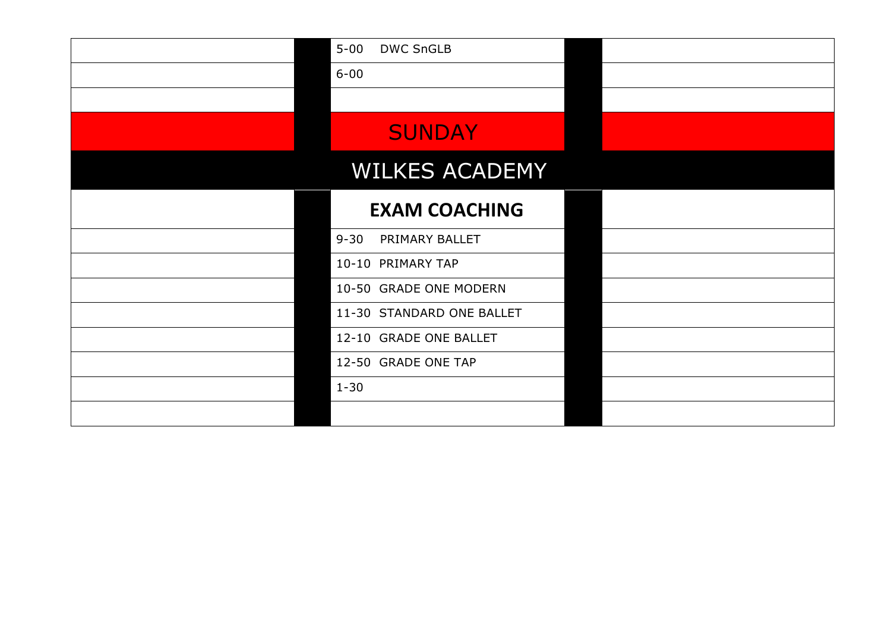| $5 - 00$<br><b>DWC SnGLB</b> |  |
|------------------------------|--|
| $6 - 00$                     |  |
|                              |  |
| <b>SUNDAY</b>                |  |
| <b>WILKES ACADEMY</b>        |  |
| <b>EXAM COACHING</b>         |  |
| $9 - 30$<br>PRIMARY BALLET   |  |
| 10-10 PRIMARY TAP            |  |
| 10-50 GRADE ONE MODERN       |  |
| 11-30 STANDARD ONE BALLET    |  |
| 12-10 GRADE ONE BALLET       |  |
| 12-50 GRADE ONE TAP          |  |
| $1 - 30$                     |  |
|                              |  |